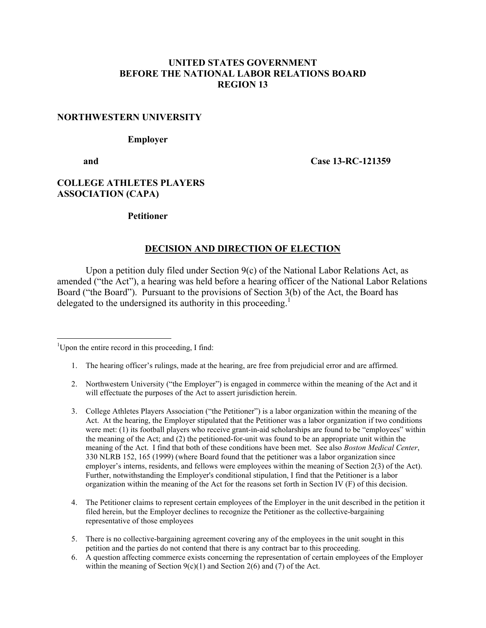## **UNITED STATES GOVERNMENT BEFORE THE NATIONAL LABOR RELATIONS BOARD REGION 13**

#### **NORTHWESTERN UNIVERSITY**

#### **Employer**

 $\overline{a}$ 

 **and Case 13-RC-121359**

# **COLLEGE ATHLETES PLAYERS ASSOCIATION (CAPA)**

#### **Petitioner**

### **DECISION AND DIRECTION OF ELECTION**

Upon a petition duly filed under Section 9(c) of the National Labor Relations Act, as amended ("the Act"), a hearing was held before a hearing officer of the National Labor Relations Board ("the Board"). Pursuant to the provisions of Section 3(b) of the Act, the Board has delegated to the undersigned its authority in this proceeding.<sup>[1](#page-0-0)</sup>

<span id="page-0-0"></span><sup>1</sup>Upon the entire record in this proceeding, I find:

- 1. The hearing officer's rulings, made at the hearing, are free from prejudicial error and are affirmed.
- 2. Northwestern University ("the Employer") is engaged in commerce within the meaning of the Act and it will effectuate the purposes of the Act to assert jurisdiction herein.
- 3. College Athletes Players Association ("the Petitioner") is a labor organization within the meaning of the Act. At the hearing, the Employer stipulated that the Petitioner was a labor organization if two conditions were met: (1) its football players who receive grant-in-aid scholarships are found to be "employees" within the meaning of the Act; and (2) the petitioned-for-unit was found to be an appropriate unit within the meaning of the Act. I find that both of these conditions have been met. See also *Boston Medical Center*, 330 NLRB 152, 165 (1999) (where Board found that the petitioner was a labor organization since employer's interns, residents, and fellows were employees within the meaning of Section 2(3) of the Act). Further, notwithstanding the Employer's conditional stipulation, I find that the Petitioner is a labor organization within the meaning of the Act for the reasons set forth in Section IV (F) of this decision.
- 4. The Petitioner claims to represent certain employees of the Employer in the unit described in the petition it filed herein, but the Employer declines to recognize the Petitioner as the collective-bargaining representative of those employees
- 5. There is no collective-bargaining agreement covering any of the employees in the unit sought in this petition and the parties do not contend that there is any contract bar to this proceeding.
- 6. A question affecting commerce exists concerning the representation of certain employees of the Employer within the meaning of Section  $9(c)(1)$  and Section 2(6) and (7) of the Act.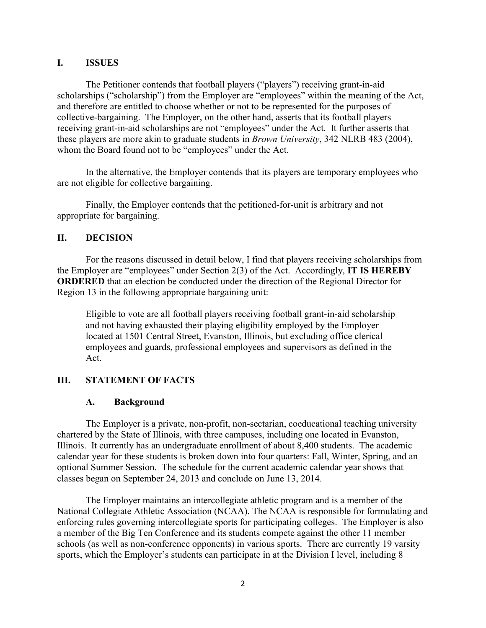#### **I. ISSUES**

The Petitioner contends that football players ("players") receiving grant-in-aid scholarships ("scholarship") from the Employer are "employees" within the meaning of the Act, and therefore are entitled to choose whether or not to be represented for the purposes of collective-bargaining. The Employer, on the other hand, asserts that its football players receiving grant-in-aid scholarships are not "employees" under the Act. It further asserts that these players are more akin to graduate students in *Brown University*, 342 NLRB 483 (2004), whom the Board found not to be "employees" under the Act.

In the alternative, the Employer contends that its players are temporary employees who are not eligible for collective bargaining.

Finally, the Employer contends that the petitioned-for-unit is arbitrary and not appropriate for bargaining.

# **II. DECISION**

For the reasons discussed in detail below, I find that players receiving scholarships from the Employer are "employees" under Section 2(3) of the Act. Accordingly, **IT IS HEREBY ORDERED** that an election be conducted under the direction of the Regional Director for Region 13 in the following appropriate bargaining unit:

Eligible to vote are all football players receiving football grant-in-aid scholarship and not having exhausted their playing eligibility employed by the Employer located at 1501 Central Street, Evanston, Illinois, but excluding office clerical employees and guards, professional employees and supervisors as defined in the Act.

# **III. STATEMENT OF FACTS**

### **A. Background**

The Employer is a private, non-profit, non-sectarian, coeducational teaching university chartered by the State of Illinois, with three campuses, including one located in Evanston, Illinois. It currently has an undergraduate enrollment of about 8,400 students. The academic calendar year for these students is broken down into four quarters: Fall, Winter, Spring, and an optional Summer Session. The schedule for the current academic calendar year shows that classes began on September 24, 2013 and conclude on June 13, 2014.

The Employer maintains an intercollegiate athletic program and is a member of the National Collegiate Athletic Association (NCAA). The NCAA is responsible for formulating and enforcing rules governing intercollegiate sports for participating colleges. The Employer is also a member of the Big Ten Conference and its students compete against the other 11 member schools (as well as non-conference opponents) in various sports. There are currently 19 varsity sports, which the Employer's students can participate in at the Division I level, including 8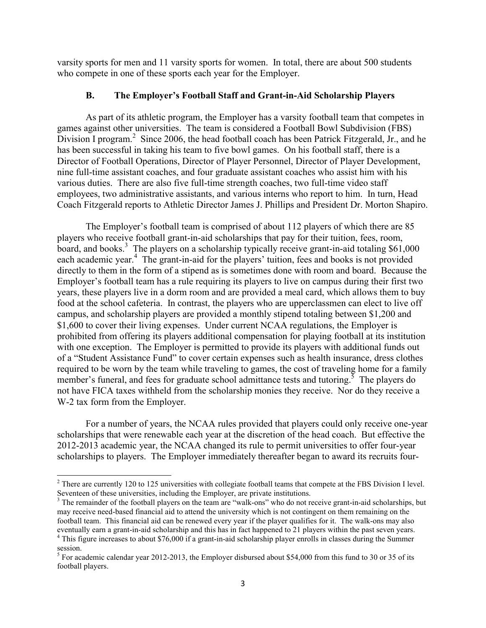varsity sports for men and 11 varsity sports for women. In total, there are about 500 students who compete in one of these sports each year for the Employer.

# **B. The Employer's Football Staff and Grant-in-Aid Scholarship Players**

As part of its athletic program, the Employer has a varsity football team that competes in games against other universities. The team is considered a Football Bowl Subdivision (FBS) Division I program.<sup>[2](#page-2-0)</sup> Since 2006, the head football coach has been Patrick Fitzgerald, Jr., and he has been successful in taking his team to five bowl games. On his football staff, there is a Director of Football Operations, Director of Player Personnel, Director of Player Development, nine full-time assistant coaches, and four graduate assistant coaches who assist him with his various duties. There are also five full-time strength coaches, two full-time video staff employees, two administrative assistants, and various interns who report to him. In turn, Head Coach Fitzgerald reports to Athletic Director James J. Phillips and President Dr. Morton Shapiro.

The Employer's football team is comprised of about 112 players of which there are 85 players who receive football grant-in-aid scholarships that pay for their tuition, fees, room, board, and books.<sup>[3](#page-2-1)</sup> The players on a scholarship typically receive grant-in-aid totaling  $$61,000$ each academic year.<sup>[4](#page-2-2)</sup> The grant-in-aid for the players' tuition, fees and books is not provided directly to them in the form of a stipend as is sometimes done with room and board. Because the Employer's football team has a rule requiring its players to live on campus during their first two years, these players live in a dorm room and are provided a meal card, which allows them to buy food at the school cafeteria. In contrast, the players who are upperclassmen can elect to live off campus, and scholarship players are provided a monthly stipend totaling between \$1,200 and \$1,600 to cover their living expenses. Under current NCAA regulations, the Employer is prohibited from offering its players additional compensation for playing football at its institution with one exception. The Employer is permitted to provide its players with additional funds out of a "Student Assistance Fund" to cover certain expenses such as health insurance, dress clothes required to be worn by the team while traveling to games, the cost of traveling home for a family member's funeral, and fees for graduate school admittance tests and tutoring.<sup>[5](#page-2-3)</sup> The players do not have FICA taxes withheld from the scholarship monies they receive. Nor do they receive a W-2 tax form from the Employer.

For a number of years, the NCAA rules provided that players could only receive one-year scholarships that were renewable each year at the discretion of the head coach. But effective the 2012-2013 academic year, the NCAA changed its rule to permit universities to offer four-year scholarships to players. The Employer immediately thereafter began to award its recruits four-

<span id="page-2-0"></span><sup>&</sup>lt;sup>2</sup> There are currently 120 to 125 universities with collegiate football teams that compete at the FBS Division I level. Seventeen of these universities, including the Employer, are private institutions.

<span id="page-2-1"></span><sup>&</sup>lt;sup>3</sup> The remainder of the football players on the team are "walk-ons" who do not receive grant-in-aid scholarships, but may receive need-based financial aid to attend the university which is not contingent on them remaining on the football team. This financial aid can be renewed every year if the player qualifies for it. The walk-ons may also eventually earn a grant-in-aid scholarship and this has in fact happened to 21 players within the past seven years.

<span id="page-2-2"></span><sup>&</sup>lt;sup>4</sup> This figure increases to about \$76,000 if a grant-in-aid scholarship player enrolls in classes during the Summer session.<br><sup>5</sup> For academic calendar year 2012-2013, the Employer disbursed about \$54,000 from this fund to 30 or 35 of its

<span id="page-2-3"></span>football players.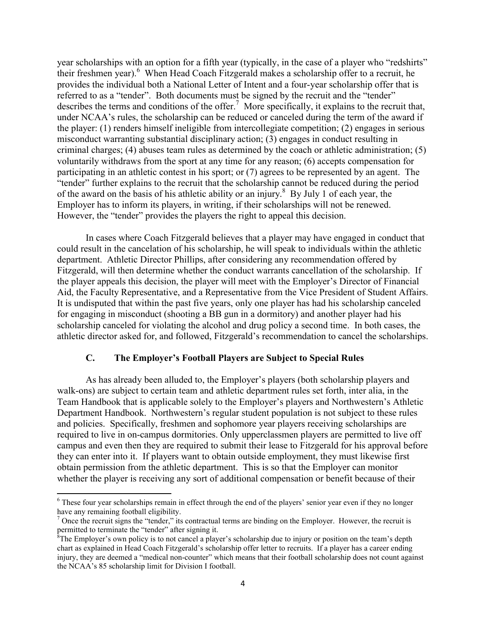year scholarships with an option for a fifth year (typically, in the case of a player who "redshirts" their freshmen year). [6](#page-3-0) When Head Coach Fitzgerald makes a scholarship offer to a recruit, he provides the individual both a National Letter of Intent and a four-year scholarship offer that is referred to as a "tender". Both documents must be signed by the recruit and the "tender" describes the terms and conditions of the offer.<sup>[7](#page-3-1)</sup> More specifically, it explains to the recruit that, under NCAA's rules, the scholarship can be reduced or canceled during the term of the award if the player: (1) renders himself ineligible from intercollegiate competition; (2) engages in serious misconduct warranting substantial disciplinary action; (3) engages in conduct resulting in criminal charges; (4) abuses team rules as determined by the coach or athletic administration; (5) voluntarily withdraws from the sport at any time for any reason; (6) accepts compensation for participating in an athletic contest in his sport; or (7) agrees to be represented by an agent. The "tender" further explains to the recruit that the scholarship cannot be reduced during the period of the award on the basis of his athletic ability or an injury.<sup>[8](#page-3-2)</sup> By July 1 of each year, the Employer has to inform its players, in writing, if their scholarships will not be renewed. However, the "tender" provides the players the right to appeal this decision.

In cases where Coach Fitzgerald believes that a player may have engaged in conduct that could result in the cancelation of his scholarship, he will speak to individuals within the athletic department. Athletic Director Phillips, after considering any recommendation offered by Fitzgerald, will then determine whether the conduct warrants cancellation of the scholarship. If the player appeals this decision, the player will meet with the Employer's Director of Financial Aid, the Faculty Representative, and a Representative from the Vice President of Student Affairs. It is undisputed that within the past five years, only one player has had his scholarship canceled for engaging in misconduct (shooting a BB gun in a dormitory) and another player had his scholarship canceled for violating the alcohol and drug policy a second time. In both cases, the athletic director asked for, and followed, Fitzgerald's recommendation to cancel the scholarships.

# **C. The Employer's Football Players are Subject to Special Rules**

As has already been alluded to, the Employer's players (both scholarship players and walk-ons) are subject to certain team and athletic department rules set forth, inter alia, in the Team Handbook that is applicable solely to the Employer's players and Northwestern's Athletic Department Handbook. Northwestern's regular student population is not subject to these rules and policies. Specifically, freshmen and sophomore year players receiving scholarships are required to live in on-campus dormitories. Only upperclassmen players are permitted to live off campus and even then they are required to submit their lease to Fitzgerald for his approval before they can enter into it. If players want to obtain outside employment, they must likewise first obtain permission from the athletic department. This is so that the Employer can monitor whether the player is receiving any sort of additional compensation or benefit because of their

<span id="page-3-0"></span> $6$  These four year scholarships remain in effect through the end of the players' senior year even if they no longer have any remaining football eligibility.

<span id="page-3-1"></span><sup>&</sup>lt;sup>7</sup> Once the recruit signs the "tender," its contractual terms are binding on the Employer. However, the recruit is permitted to terminate the "tender" after signing it.

<span id="page-3-2"></span><sup>&</sup>lt;sup>8</sup>The Employer's own policy is to not cancel a player's scholarship due to injury or position on the team's depth chart as explained in Head Coach Fitzgerald's scholarship offer letter to recruits. If a player has a career ending injury, they are deemed a "medical non-counter" which means that their football scholarship does not count against the NCAA's 85 scholarship limit for Division I football.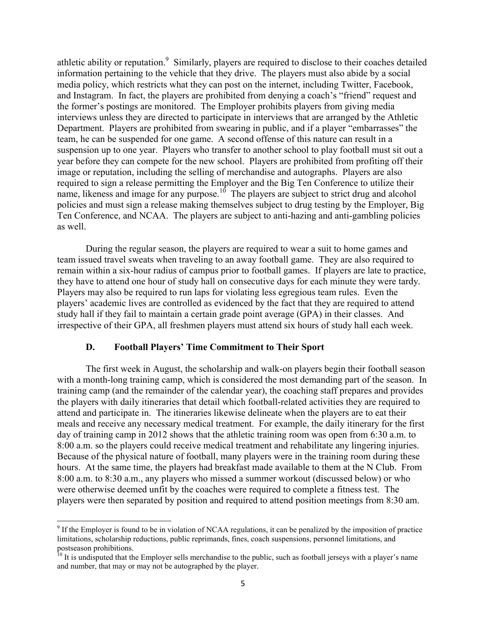athletic ability or reputation.<sup>[9](#page-4-0)</sup> Similarly, players are required to disclose to their coaches detailed information pertaining to the vehicle that they drive. The players must also abide by a social media policy, which restricts what they can post on the internet, including Twitter, Facebook, and Instagram. In fact, the players are prohibited from denying a coach's "friend" request and the former's postings are monitored. The Employer prohibits players from giving media interviews unless they are directed to participate in interviews that are arranged by the Athletic Department. Players are prohibited from swearing in public, and if a player "embarrasses" the team, he can be suspended for one game. A second offense of this nature can result in a suspension up to one year. Players who transfer to another school to play football must sit out a year before they can compete for the new school. Players are prohibited from profiting off their image or reputation, including the selling of merchandise and autographs. Players are also required to sign a release permitting the Employer and the Big Ten Conference to utilize their name, likeness and image for any purpose.<sup>[10](#page-4-1)</sup> The players are subject to strict drug and alcohol policies and must sign a release making themselves subject to drug testing by the Employer, Big Ten Conference, and NCAA. The players are subject to anti-hazing and anti-gambling policies as well.

During the regular season, the players are required to wear a suit to home games and team issued travel sweats when traveling to an away football game. They are also required to remain within a six-hour radius of campus prior to football games. If players are late to practice, they have to attend one hour of study hall on consecutive days for each minute they were tardy. Players may also be required to run laps for violating less egregious team rules. Even the players' academic lives are controlled as evidenced by the fact that they are required to attend study hall if they fail to maintain a certain grade point average (GPA) in their classes. And irrespective of their GPA, all freshmen players must attend six hours of study hall each week.

#### **D. Football Players' Time Commitment to Their Sport**

 $\overline{a}$ 

The first week in August, the scholarship and walk-on players begin their football season with a month-long training camp, which is considered the most demanding part of the season. In training camp (and the remainder of the calendar year), the coaching staff prepares and provides the players with daily itineraries that detail which football-related activities they are required to attend and participate in. The itineraries likewise delineate when the players are to eat their meals and receive any necessary medical treatment. For example, the daily itinerary for the first day of training camp in 2012 shows that the athletic training room was open from 6:30 a.m. to 8:00 a.m. so the players could receive medical treatment and rehabilitate any lingering injuries. Because of the physical nature of football, many players were in the training room during these hours. At the same time, the players had breakfast made available to them at the N Club. From 8:00 a.m. to 8:30 a.m., any players who missed a summer workout (discussed below) or who were otherwise deemed unfit by the coaches were required to complete a fitness test. The players were then separated by position and required to attend position meetings from 8:30 am.

<span id="page-4-0"></span> $9$  If the Employer is found to be in violation of NCAA regulations, it can be penalized by the imposition of practice limitations, scholarship reductions, public reprimands, fines, coach suspensions, personnel limitations, and postseason prohibitions.

<span id="page-4-1"></span> $10<sup>10</sup>$  It is undisputed that the Employer sells merchandise to the public, such as football jerseys with a player's name and number, that may or may not be autographed by the player.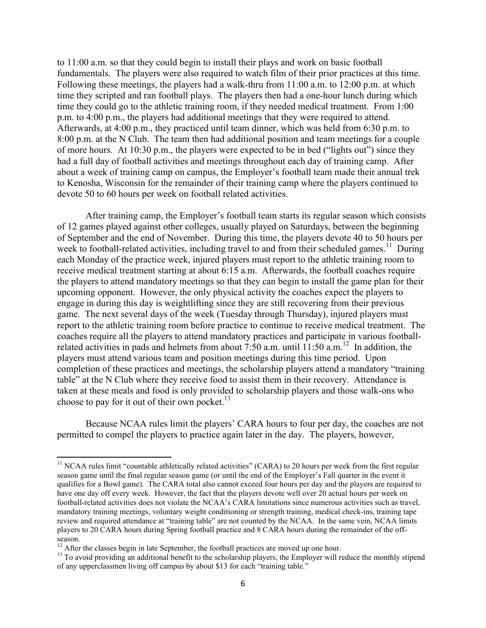to 11:00 a.m. so that they could begin to install their plays and work on basic football fundamentals. The players were also required to watch film of their prior practices at this time. Following these meetings, the players had a walk-thru from 11:00 a.m. to 12:00 p.m. at which time they scripted and ran football plays. The players then had a one-hour lunch during which time they could go to the athletic training room, if they needed medical treatment. From 1:00 p.m. to 4:00 p.m., the players had additional meetings that they were required to attend. Afterwards, at 4:00 p.m., they practiced until team dinner, which was held from 6:30 p.m. to 8:00 p.m. at the N Club. The team then had additional position and team meetings for a couple of more hours. At 10:30 p.m., the players were expected to be in bed ("lights out") since they had a full day of football activities and meetings throughout each day of training camp. After about a week of training camp on campus, the Employer's football team made their annual trek to Kenosha, Wisconsin for the remainder of their training camp where the players continued to devote 50 to 60 hours per week on football related activities.

After training camp, the Employer's football team starts its regular season which consists of 12 games played against other colleges, usually played on Saturdays, between the beginning of September and the end of November. During this time, the players devote 40 to 50 hours per week to football-related activities, including travel to and from their scheduled games.<sup>[11](#page-5-0)</sup> During each Monday of the practice week, injured players must report to the athletic training room to receive medical treatment starting at about 6:15 a.m. Afterwards, the football coaches require the players to attend mandatory meetings so that they can begin to install the game plan for their upcoming opponent. However, the only physical activity the coaches expect the players to engage in during this day is weightlifting since they are still recovering from their previous game. The next several days of the week (Tuesday through Thursday), injured players must report to the athletic training room before practice to continue to receive medical treatment. The coaches require all the players to attend mandatory practices and participate in various footballrelated activities in pads and helmets from about  $7:50$  a.m. until 11:50 a.m.<sup>[12](#page-5-1)</sup> In addition, the players must attend various team and position meetings during this time period. Upon completion of these practices and meetings, the scholarship players attend a mandatory "training table" at the N Club where they receive food to assist them in their recovery. Attendance is taken at these meals and food is only provided to scholarship players and those walk-ons who choose to pay for it out of their own pocket. $^{13}$  $^{13}$  $^{13}$ 

Because NCAA rules limit the players' CARA hours to four per day, the coaches are not permitted to compel the players to practice again later in the day. The players, however,

<span id="page-5-0"></span><sup>&</sup>lt;sup>11</sup> NCAA rules limit "countable athletically related activities" (CARA) to 20 hours per week from the first regular season game until the final regular season game (or until the end of the Employer's Fall quarter in the event it qualifies for a Bowl game). The CARA total also cannot exceed four hours per day and the players are required to have one day off every week. However, the fact that the players devote well over 20 actual hours per week on football-related activities does not violate the NCAA's CARA limitations since numerous activities such as travel, mandatory training meetings, voluntary weight conditioning or strength training, medical check-ins, training tape review and required attendance at "training table" are not counted by the NCAA. In the same vein, NCAA limits players to 20 CARA hours during Spring football practice and 8 CARA hours during the remainder of the offseason.

<span id="page-5-1"></span> $12$  After the classes begin in late September, the football practices are moved up one hour.

<span id="page-5-2"></span><sup>&</sup>lt;sup>13</sup> To avoid providing an additional benefit to the scholarship players, the Employer will reduce the monthly stipend of any upperclassmen living off campus by about \$13 for each "training table."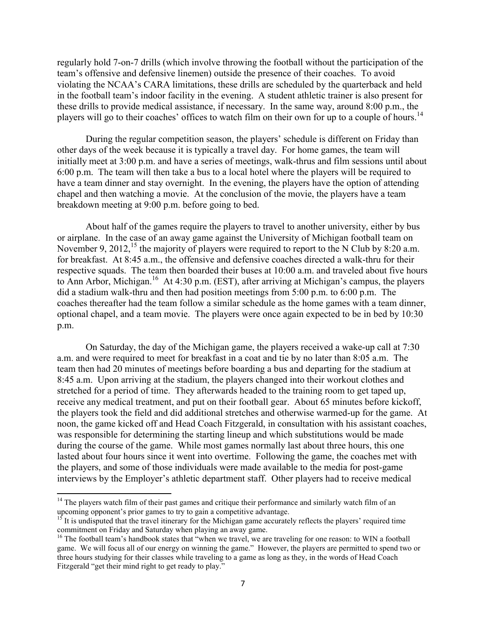regularly hold 7-on-7 drills (which involve throwing the football without the participation of the team's offensive and defensive linemen) outside the presence of their coaches. To avoid violating the NCAA's CARA limitations, these drills are scheduled by the quarterback and held in the football team's indoor facility in the evening. A student athletic trainer is also present for these drills to provide medical assistance, if necessary. In the same way, around 8:00 p.m., the players will go to their coaches' offices to watch film on their own for up to a couple of hours.<sup>[14](#page-6-0)</sup>

During the regular competition season, the players' schedule is different on Friday than other days of the week because it is typically a travel day. For home games, the team will initially meet at 3:00 p.m. and have a series of meetings, walk-thrus and film sessions until about 6:00 p.m. The team will then take a bus to a local hotel where the players will be required to have a team dinner and stay overnight. In the evening, the players have the option of attending chapel and then watching a movie. At the conclusion of the movie, the players have a team breakdown meeting at 9:00 p.m. before going to bed.

About half of the games require the players to travel to another university, either by bus or airplane. In the case of an away game against the University of Michigan football team on November 9, 2012,<sup>[15](#page-6-1)</sup> the majority of players were required to report to the N Club by 8:20 a.m. for breakfast. At 8:45 a.m., the offensive and defensive coaches directed a walk-thru for their respective squads. The team then boarded their buses at 10:00 a.m. and traveled about five hours to Ann Arbor, Michigan.<sup>[16](#page-6-2)</sup> At 4:30 p.m. (EST), after arriving at Michigan's campus, the players did a stadium walk-thru and then had position meetings from 5:00 p.m. to 6:00 p.m. The coaches thereafter had the team follow a similar schedule as the home games with a team dinner, optional chapel, and a team movie. The players were once again expected to be in bed by 10:30 p.m.

On Saturday, the day of the Michigan game, the players received a wake-up call at 7:30 a.m. and were required to meet for breakfast in a coat and tie by no later than 8:05 a.m. The team then had 20 minutes of meetings before boarding a bus and departing for the stadium at 8:45 a.m. Upon arriving at the stadium, the players changed into their workout clothes and stretched for a period of time. They afterwards headed to the training room to get taped up, receive any medical treatment, and put on their football gear. About 65 minutes before kickoff, the players took the field and did additional stretches and otherwise warmed-up for the game. At noon, the game kicked off and Head Coach Fitzgerald, in consultation with his assistant coaches, was responsible for determining the starting lineup and which substitutions would be made during the course of the game. While most games normally last about three hours, this one lasted about four hours since it went into overtime. Following the game, the coaches met with the players, and some of those individuals were made available to the media for post-game interviews by the Employer's athletic department staff. Other players had to receive medical

<span id="page-6-0"></span><sup>&</sup>lt;sup>14</sup> The players watch film of their past games and critique their performance and similarly watch film of an upcoming opponent's prior games to try to gain a competitive advantage.

<span id="page-6-1"></span> $15$  It is undisputed that the travel itinerary for the Michigan game accurately reflects the players' required time commitment on Friday and Saturday when playing an away game.

<span id="page-6-2"></span><sup>&</sup>lt;sup>16</sup> The football team's handbook states that "when we travel, we are traveling for one reason: to WIN a football game. We will focus all of our energy on winning the game." However, the players are permitted to spend two or three hours studying for their classes while traveling to a game as long as they, in the words of Head Coach Fitzgerald "get their mind right to get ready to play."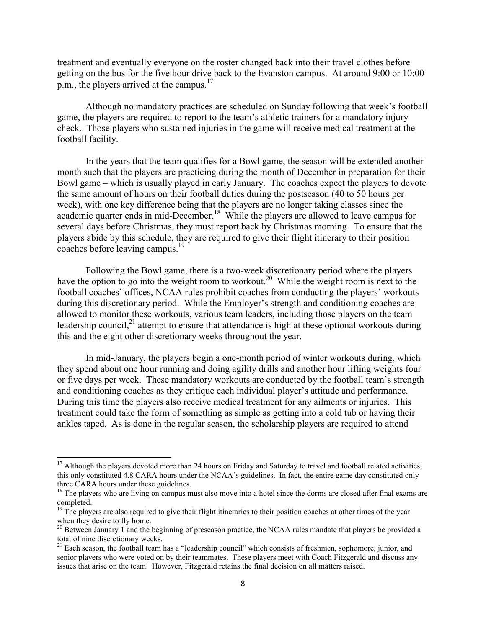treatment and eventually everyone on the roster changed back into their travel clothes before getting on the bus for the five hour drive back to the Evanston campus. At around 9:00 or 10:00 p.m., the players arrived at the campus.<sup>[17](#page-7-0)</sup>

Although no mandatory practices are scheduled on Sunday following that week's football game, the players are required to report to the team's athletic trainers for a mandatory injury check. Those players who sustained injuries in the game will receive medical treatment at the football facility.

In the years that the team qualifies for a Bowl game, the season will be extended another month such that the players are practicing during the month of December in preparation for their Bowl game – which is usually played in early January. The coaches expect the players to devote the same amount of hours on their football duties during the postseason (40 to 50 hours per week), with one key difference being that the players are no longer taking classes since the academic quarter ends in mid-December.<sup>[18](#page-7-1)</sup> While the players are allowed to leave campus for several days before Christmas, they must report back by Christmas morning. To ensure that the players abide by this schedule, they are required to give their flight itinerary to their position coaches before leaving campus.<sup>[19](#page-7-2)</sup>

Following the Bowl game, there is a two-week discretionary period where the players have the option to go into the weight room to workout.<sup>[20](#page-7-3)</sup> While the weight room is next to the football coaches' offices, NCAA rules prohibit coaches from conducting the players' workouts during this discretionary period. While the Employer's strength and conditioning coaches are allowed to monitor these workouts, various team leaders, including those players on the team leadership council, $2<sup>1</sup>$  attempt to ensure that attendance is high at these optional workouts during this and the eight other discretionary weeks throughout the year.

In mid-January, the players begin a one-month period of winter workouts during, which they spend about one hour running and doing agility drills and another hour lifting weights four or five days per week. These mandatory workouts are conducted by the football team's strength and conditioning coaches as they critique each individual player's attitude and performance. During this time the players also receive medical treatment for any ailments or injuries. This treatment could take the form of something as simple as getting into a cold tub or having their ankles taped. As is done in the regular season, the scholarship players are required to attend

<span id="page-7-0"></span> $17$  Although the players devoted more than 24 hours on Friday and Saturday to travel and football related activities, this only constituted 4.8 CARA hours under the NCAA's guidelines. In fact, the entire game day constituted only three CARA hours under these guidelines.

<span id="page-7-1"></span> $18$  The players who are living on campus must also move into a hotel since the dorms are closed after final exams are completed.

<span id="page-7-2"></span><sup>&</sup>lt;sup>19</sup> The players are also required to give their flight itineraries to their position coaches at other times of the year when they desire to fly home.

<span id="page-7-3"></span><sup>&</sup>lt;sup>20</sup> Between January 1 and the beginning of preseason practice, the NCAA rules mandate that players be provided a total of nine discretionary weeks.

<span id="page-7-4"></span><sup>&</sup>lt;sup>21</sup> Each season, the football team has a "leadership council" which consists of freshmen, sophomore, junior, and senior players who were voted on by their teammates. These players meet with Coach Fitzgerald and discuss any issues that arise on the team. However, Fitzgerald retains the final decision on all matters raised.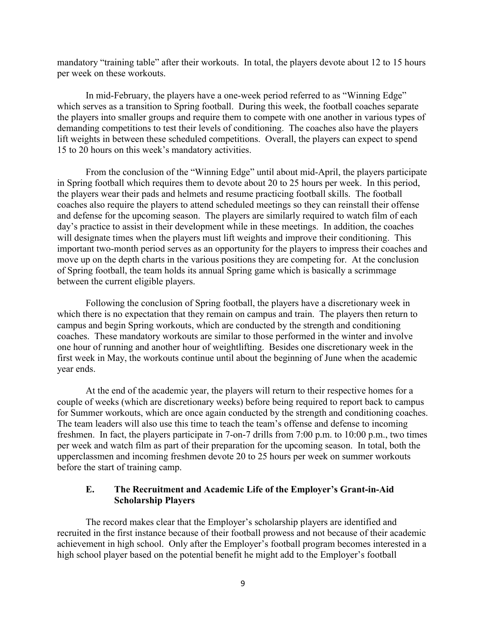mandatory "training table" after their workouts. In total, the players devote about 12 to 15 hours per week on these workouts.

In mid-February, the players have a one-week period referred to as "Winning Edge" which serves as a transition to Spring football. During this week, the football coaches separate the players into smaller groups and require them to compete with one another in various types of demanding competitions to test their levels of conditioning. The coaches also have the players lift weights in between these scheduled competitions. Overall, the players can expect to spend 15 to 20 hours on this week's mandatory activities.

From the conclusion of the "Winning Edge" until about mid-April, the players participate in Spring football which requires them to devote about 20 to 25 hours per week. In this period, the players wear their pads and helmets and resume practicing football skills. The football coaches also require the players to attend scheduled meetings so they can reinstall their offense and defense for the upcoming season. The players are similarly required to watch film of each day's practice to assist in their development while in these meetings. In addition, the coaches will designate times when the players must lift weights and improve their conditioning. This important two-month period serves as an opportunity for the players to impress their coaches and move up on the depth charts in the various positions they are competing for. At the conclusion of Spring football, the team holds its annual Spring game which is basically a scrimmage between the current eligible players.

Following the conclusion of Spring football, the players have a discretionary week in which there is no expectation that they remain on campus and train. The players then return to campus and begin Spring workouts, which are conducted by the strength and conditioning coaches. These mandatory workouts are similar to those performed in the winter and involve one hour of running and another hour of weightlifting. Besides one discretionary week in the first week in May, the workouts continue until about the beginning of June when the academic year ends.

At the end of the academic year, the players will return to their respective homes for a couple of weeks (which are discretionary weeks) before being required to report back to campus for Summer workouts, which are once again conducted by the strength and conditioning coaches. The team leaders will also use this time to teach the team's offense and defense to incoming freshmen. In fact, the players participate in 7-on-7 drills from 7:00 p.m. to 10:00 p.m., two times per week and watch film as part of their preparation for the upcoming season. In total, both the upperclassmen and incoming freshmen devote 20 to 25 hours per week on summer workouts before the start of training camp.

# **E. The Recruitment and Academic Life of the Employer's Grant-in-Aid Scholarship Players**

The record makes clear that the Employer's scholarship players are identified and recruited in the first instance because of their football prowess and not because of their academic achievement in high school. Only after the Employer's football program becomes interested in a high school player based on the potential benefit he might add to the Employer's football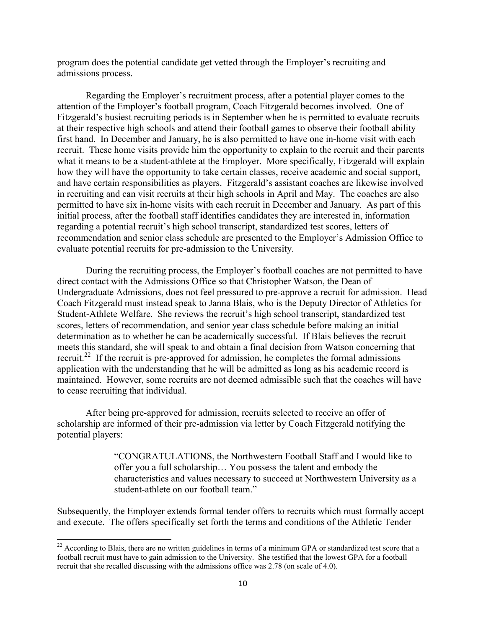program does the potential candidate get vetted through the Employer's recruiting and admissions process.

Regarding the Employer's recruitment process, after a potential player comes to the attention of the Employer's football program, Coach Fitzgerald becomes involved. One of Fitzgerald's busiest recruiting periods is in September when he is permitted to evaluate recruits at their respective high schools and attend their football games to observe their football ability first hand. In December and January, he is also permitted to have one in-home visit with each recruit. These home visits provide him the opportunity to explain to the recruit and their parents what it means to be a student-athlete at the Employer. More specifically, Fitzgerald will explain how they will have the opportunity to take certain classes, receive academic and social support, and have certain responsibilities as players. Fitzgerald's assistant coaches are likewise involved in recruiting and can visit recruits at their high schools in April and May. The coaches are also permitted to have six in-home visits with each recruit in December and January. As part of this initial process, after the football staff identifies candidates they are interested in, information regarding a potential recruit's high school transcript, standardized test scores, letters of recommendation and senior class schedule are presented to the Employer's Admission Office to evaluate potential recruits for pre-admission to the University.

During the recruiting process, the Employer's football coaches are not permitted to have direct contact with the Admissions Office so that Christopher Watson, the Dean of Undergraduate Admissions, does not feel pressured to pre-approve a recruit for admission. Head Coach Fitzgerald must instead speak to Janna Blais, who is the Deputy Director of Athletics for Student-Athlete Welfare. She reviews the recruit's high school transcript, standardized test scores, letters of recommendation, and senior year class schedule before making an initial determination as to whether he can be academically successful. If Blais believes the recruit meets this standard, she will speak to and obtain a final decision from Watson concerning that recruit.<sup>[22](#page-9-0)</sup> If the recruit is pre-approved for admission, he completes the formal admissions application with the understanding that he will be admitted as long as his academic record is maintained. However, some recruits are not deemed admissible such that the coaches will have to cease recruiting that individual.

After being pre-approved for admission, recruits selected to receive an offer of scholarship are informed of their pre-admission via letter by Coach Fitzgerald notifying the potential players:

> "CONGRATULATIONS, the Northwestern Football Staff and I would like to offer you a full scholarship… You possess the talent and embody the characteristics and values necessary to succeed at Northwestern University as a student-athlete on our football team."

Subsequently, the Employer extends formal tender offers to recruits which must formally accept and execute. The offers specifically set forth the terms and conditions of the Athletic Tender

<span id="page-9-0"></span> $22$  According to Blais, there are no written guidelines in terms of a minimum GPA or standardized test score that a football recruit must have to gain admission to the University. She testified that the lowest GPA for a football recruit that she recalled discussing with the admissions office was 2.78 (on scale of 4.0).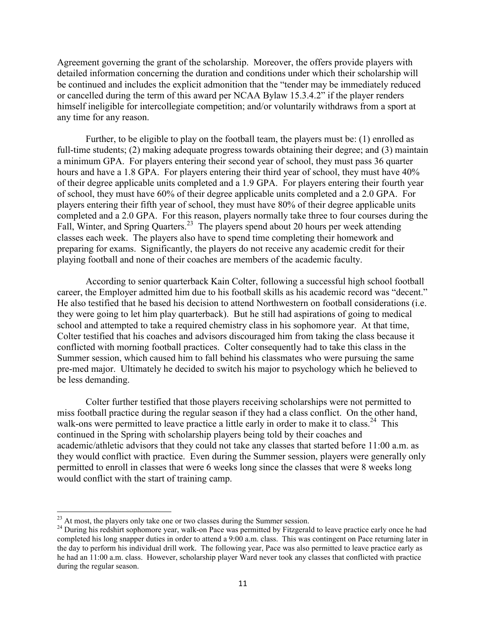Agreement governing the grant of the scholarship. Moreover, the offers provide players with detailed information concerning the duration and conditions under which their scholarship will be continued and includes the explicit admonition that the "tender may be immediately reduced or cancelled during the term of this award per NCAA Bylaw 15.3.4.2" if the player renders himself ineligible for intercollegiate competition; and/or voluntarily withdraws from a sport at any time for any reason.

Further, to be eligible to play on the football team, the players must be: (1) enrolled as full-time students; (2) making adequate progress towards obtaining their degree; and (3) maintain a minimum GPA. For players entering their second year of school, they must pass 36 quarter hours and have a 1.8 GPA. For players entering their third year of school, they must have  $40\%$ of their degree applicable units completed and a 1.9 GPA. For players entering their fourth year of school, they must have 60% of their degree applicable units completed and a 2.0 GPA. For players entering their fifth year of school, they must have 80% of their degree applicable units completed and a 2.0 GPA. For this reason, players normally take three to four courses during the Fall, Winter, and Spring Quarters.<sup>[23](#page-10-0)</sup> The players spend about 20 hours per week attending classes each week. The players also have to spend time completing their homework and preparing for exams. Significantly, the players do not receive any academic credit for their playing football and none of their coaches are members of the academic faculty.

According to senior quarterback Kain Colter, following a successful high school football career, the Employer admitted him due to his football skills as his academic record was "decent." He also testified that he based his decision to attend Northwestern on football considerations (i.e. they were going to let him play quarterback). But he still had aspirations of going to medical school and attempted to take a required chemistry class in his sophomore year. At that time, Colter testified that his coaches and advisors discouraged him from taking the class because it conflicted with morning football practices. Colter consequently had to take this class in the Summer session, which caused him to fall behind his classmates who were pursuing the same pre-med major. Ultimately he decided to switch his major to psychology which he believed to be less demanding.

Colter further testified that those players receiving scholarships were not permitted to miss football practice during the regular season if they had a class conflict. On the other hand, walk-ons were permitted to leave practice a little early in order to make it to class.<sup>[24](#page-10-1)</sup> This continued in the Spring with scholarship players being told by their coaches and academic/athletic advisors that they could not take any classes that started before 11:00 a.m. as they would conflict with practice. Even during the Summer session, players were generally only permitted to enroll in classes that were 6 weeks long since the classes that were 8 weeks long would conflict with the start of training camp.

<span id="page-10-0"></span> $^{23}$  At most, the players only take one or two classes during the Summer session.

<span id="page-10-1"></span><sup>&</sup>lt;sup>24</sup> During his redshirt sophomore year, walk-on Pace was permitted by Fitzgerald to leave practice early once he had completed his long snapper duties in order to attend a 9:00 a.m. class. This was contingent on Pace returning later in the day to perform his individual drill work. The following year, Pace was also permitted to leave practice early as he had an 11:00 a.m. class. However, scholarship player Ward never took any classes that conflicted with practice during the regular season.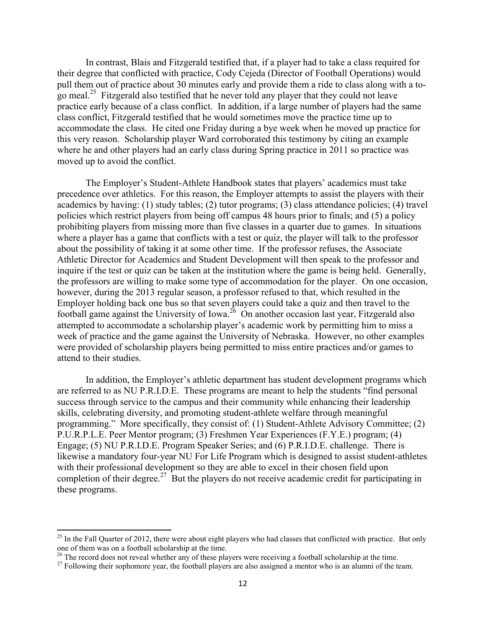In contrast, Blais and Fitzgerald testified that, if a player had to take a class required for their degree that conflicted with practice, Cody Cejeda (Director of Football Operations) would pull them out of practice about 30 minutes early and provide them a ride to class along with a to-go meal.<sup>[25](#page-11-0)</sup> Fitzgerald also testified that he never told any player that they could not leave practice early because of a class conflict. In addition, if a large number of players had the same class conflict, Fitzgerald testified that he would sometimes move the practice time up to accommodate the class. He cited one Friday during a bye week when he moved up practice for this very reason. Scholarship player Ward corroborated this testimony by citing an example where he and other players had an early class during Spring practice in 2011 so practice was moved up to avoid the conflict.

The Employer's Student-Athlete Handbook states that players' academics must take precedence over athletics. For this reason, the Employer attempts to assist the players with their academics by having: (1) study tables; (2) tutor programs; (3) class attendance policies; (4) travel policies which restrict players from being off campus 48 hours prior to finals; and (5) a policy prohibiting players from missing more than five classes in a quarter due to games. In situations where a player has a game that conflicts with a test or quiz, the player will talk to the professor about the possibility of taking it at some other time. If the professor refuses, the Associate Athletic Director for Academics and Student Development will then speak to the professor and inquire if the test or quiz can be taken at the institution where the game is being held. Generally, the professors are willing to make some type of accommodation for the player. On one occasion, however, during the 2013 regular season, a professor refused to that, which resulted in the Employer holding back one bus so that seven players could take a quiz and then travel to the football game against the University of Iowa.<sup>[26](#page-11-1)</sup> On another occasion last year, Fitzgerald also attempted to accommodate a scholarship player's academic work by permitting him to miss a week of practice and the game against the University of Nebraska. However, no other examples were provided of scholarship players being permitted to miss entire practices and/or games to attend to their studies.

In addition, the Employer's athletic department has student development programs which are referred to as NU P.R.I.D.E. These programs are meant to help the students "find personal success through service to the campus and their community while enhancing their leadership skills, celebrating diversity, and promoting student-athlete welfare through meaningful programming." More specifically, they consist of: (1) Student-Athlete Advisory Committee; (2) P.U.R.P.L.E. Peer Mentor program; (3) Freshmen Year Experiences (F.Y.E.) program; (4) Engage; (5) NU P.R.I.D.E. Program Speaker Series; and (6) P.R.I.D.E. challenge. There is likewise a mandatory four-year NU For Life Program which is designed to assist student-athletes with their professional development so they are able to excel in their chosen field upon completion of their degree.<sup>[27](#page-11-2)</sup> But the players do not receive academic credit for participating in these programs.

<span id="page-11-0"></span> $^{25}$  In the Fall Quarter of 2012, there were about eight players who had classes that conflicted with practice. But only one of them was on a football scholarship at the time.

<span id="page-11-1"></span> $^{26}$  The record does not reveal whether any of these players were receiving a football scholarship at the time.

<span id="page-11-2"></span><sup>&</sup>lt;sup>27</sup> Following their sophomore year, the football players are also assigned a mentor who is an alumni of the team.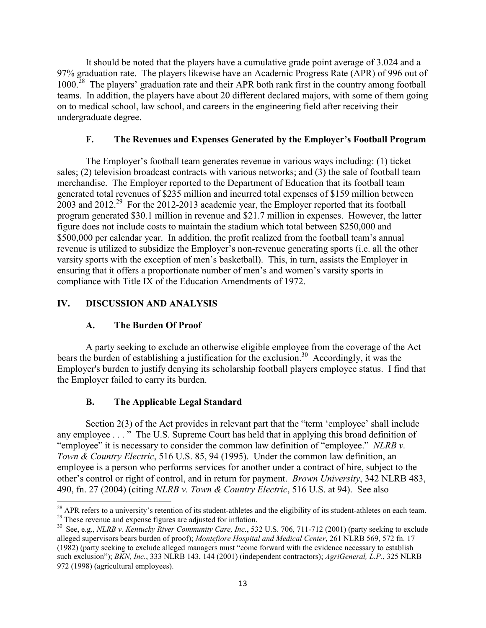It should be noted that the players have a cumulative grade point average of 3.024 and a 97% graduation rate. The players likewise have an Academic Progress Rate (APR) of 996 out of 1000.<sup>[28](#page-12-0)</sup> The players' graduation rate and their APR both rank first in the country among football teams. In addition, the players have about 20 different declared majors, with some of them going on to medical school, law school, and careers in the engineering field after receiving their undergraduate degree.

# **F. The Revenues and Expenses Generated by the Employer's Football Program**

The Employer's football team generates revenue in various ways including: (1) ticket sales; (2) television broadcast contracts with various networks; and (3) the sale of football team merchandise. The Employer reported to the Department of Education that its football team generated total revenues of \$235 million and incurred total expenses of \$159 million between  $2003$  and  $2012<sup>29</sup>$  $2012<sup>29</sup>$  $2012<sup>29</sup>$  For the 2012-2013 academic year, the Employer reported that its football program generated \$30.1 million in revenue and \$21.7 million in expenses. However, the latter figure does not include costs to maintain the stadium which total between \$250,000 and \$500,000 per calendar year. In addition, the profit realized from the football team's annual revenue is utilized to subsidize the Employer's non-revenue generating sports (i.e. all the other varsity sports with the exception of men's basketball). This, in turn, assists the Employer in ensuring that it offers a proportionate number of men's and women's varsity sports in compliance with Title IX of the Education Amendments of 1972.

# **IV. DISCUSSION AND ANALYSIS**

# **A. The Burden Of Proof**

A party seeking to exclude an otherwise eligible employee from the coverage of the Act bears the burden of establishing a justification for the exclusion.<sup>[30](#page-12-2)</sup> Accordingly, it was the Employer's burden to justify denying its scholarship football players employee status. I find that the Employer failed to carry its burden.

# **B. The Applicable Legal Standard**

Section 2(3) of the Act provides in relevant part that the "term 'employee' shall include any employee . . . " The U.S. Supreme Court has held that in applying this broad definition of "employee" it is necessary to consider the common law definition of "employee." *NLRB v. Town & Country Electric*, 516 U.S. 85, 94 (1995). Under the common law definition, an employee is a person who performs services for another under a contract of hire, subject to the other's control or right of control, and in return for payment. *Brown University*, 342 NLRB 483, 490, fn. 27 (2004) (citing *NLRB v. Town & Country Electric*, 516 U.S. at 94). See also

<span id="page-12-1"></span><span id="page-12-0"></span> $\overline{a}$ <sup>28</sup> APR refers to a university's retention of its student-athletes and the eligibility of its student-athletes on each team. <sup>29</sup> These revenue and expense figures are adjusted for inflation.

<span id="page-12-2"></span><sup>&</sup>lt;sup>30</sup> See, e.g., *NLRB v. Kentucky River Community Care, Inc.*, 532 U.S. 706, 711-712 (2001) (party seeking to exclude alleged supervisors bears burden of proof); *Montefiore Hospital and Medical Center*, 261 NLRB 569, 572 fn. 17 (1982) (party seeking to exclude alleged managers must "come forward with the evidence necessary to establish such exclusion"); *BKN, Inc.*, 333 NLRB 143, 144 (2001) (independent contractors); *AgriGeneral, L.P.*, 325 NLRB 972 (1998) (agricultural employees).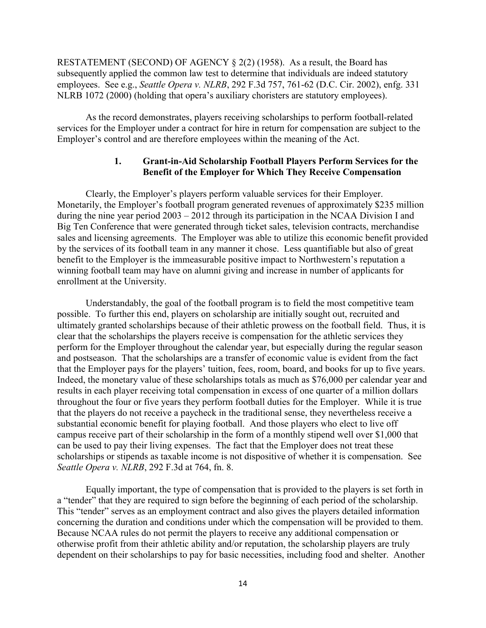RESTATEMENT (SECOND) OF AGENCY § 2(2) (1958). As a result, the Board has subsequently applied the common law test to determine that individuals are indeed statutory employees. See e.g., *Seattle Opera v. NLRB*, 292 F.3d 757, 761-62 (D.C. Cir. 2002), enfg. 331 NLRB 1072 (2000) (holding that opera's auxiliary choristers are statutory employees).

As the record demonstrates, players receiving scholarships to perform football-related services for the Employer under a contract for hire in return for compensation are subject to the Employer's control and are therefore employees within the meaning of the Act.

### **1. Grant-in-Aid Scholarship Football Players Perform Services for the Benefit of the Employer for Which They Receive Compensation**

Clearly, the Employer's players perform valuable services for their Employer. Monetarily, the Employer's football program generated revenues of approximately \$235 million during the nine year period 2003 – 2012 through its participation in the NCAA Division I and Big Ten Conference that were generated through ticket sales, television contracts, merchandise sales and licensing agreements. The Employer was able to utilize this economic benefit provided by the services of its football team in any manner it chose. Less quantifiable but also of great benefit to the Employer is the immeasurable positive impact to Northwestern's reputation a winning football team may have on alumni giving and increase in number of applicants for enrollment at the University.

Understandably, the goal of the football program is to field the most competitive team possible. To further this end, players on scholarship are initially sought out, recruited and ultimately granted scholarships because of their athletic prowess on the football field. Thus, it is clear that the scholarships the players receive is compensation for the athletic services they perform for the Employer throughout the calendar year, but especially during the regular season and postseason. That the scholarships are a transfer of economic value is evident from the fact that the Employer pays for the players' tuition, fees, room, board, and books for up to five years. Indeed, the monetary value of these scholarships totals as much as \$76,000 per calendar year and results in each player receiving total compensation in excess of one quarter of a million dollars throughout the four or five years they perform football duties for the Employer. While it is true that the players do not receive a paycheck in the traditional sense, they nevertheless receive a substantial economic benefit for playing football. And those players who elect to live off campus receive part of their scholarship in the form of a monthly stipend well over \$1,000 that can be used to pay their living expenses. The fact that the Employer does not treat these scholarships or stipends as taxable income is not dispositive of whether it is compensation. See *Seattle Opera v. NLRB*, 292 F.3d at 764, fn. 8.

Equally important, the type of compensation that is provided to the players is set forth in a "tender" that they are required to sign before the beginning of each period of the scholarship. This "tender" serves as an employment contract and also gives the players detailed information concerning the duration and conditions under which the compensation will be provided to them. Because NCAA rules do not permit the players to receive any additional compensation or otherwise profit from their athletic ability and/or reputation, the scholarship players are truly dependent on their scholarships to pay for basic necessities, including food and shelter. Another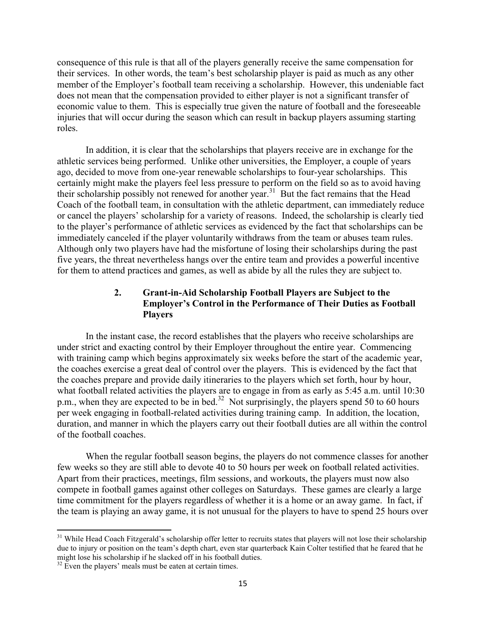consequence of this rule is that all of the players generally receive the same compensation for their services. In other words, the team's best scholarship player is paid as much as any other member of the Employer's football team receiving a scholarship. However, this undeniable fact does not mean that the compensation provided to either player is not a significant transfer of economic value to them. This is especially true given the nature of football and the foreseeable injuries that will occur during the season which can result in backup players assuming starting roles.

In addition, it is clear that the scholarships that players receive are in exchange for the athletic services being performed. Unlike other universities, the Employer, a couple of years ago, decided to move from one-year renewable scholarships to four-year scholarships. This certainly might make the players feel less pressure to perform on the field so as to avoid having their scholarship possibly not renewed for another year.<sup>[31](#page-14-0)</sup> But the fact remains that the Head Coach of the football team, in consultation with the athletic department, can immediately reduce or cancel the players' scholarship for a variety of reasons. Indeed, the scholarship is clearly tied to the player's performance of athletic services as evidenced by the fact that scholarships can be immediately canceled if the player voluntarily withdraws from the team or abuses team rules. Although only two players have had the misfortune of losing their scholarships during the past five years, the threat nevertheless hangs over the entire team and provides a powerful incentive for them to attend practices and games, as well as abide by all the rules they are subject to.

# **2. Grant-in-Aid Scholarship Football Players are Subject to the Employer's Control in the Performance of Their Duties as Football Players**

In the instant case, the record establishes that the players who receive scholarships are under strict and exacting control by their Employer throughout the entire year. Commencing with training camp which begins approximately six weeks before the start of the academic year, the coaches exercise a great deal of control over the players. This is evidenced by the fact that the coaches prepare and provide daily itineraries to the players which set forth, hour by hour, what football related activities the players are to engage in from as early as 5:45 a.m. until 10:30 p.m., when they are expected to be in bed.<sup>[32](#page-14-1)</sup> Not surprisingly, the players spend 50 to 60 hours per week engaging in football-related activities during training camp. In addition, the location, duration, and manner in which the players carry out their football duties are all within the control of the football coaches.

When the regular football season begins, the players do not commence classes for another few weeks so they are still able to devote 40 to 50 hours per week on football related activities. Apart from their practices, meetings, film sessions, and workouts, the players must now also compete in football games against other colleges on Saturdays. These games are clearly a large time commitment for the players regardless of whether it is a home or an away game. In fact, if the team is playing an away game, it is not unusual for the players to have to spend 25 hours over

<span id="page-14-0"></span><sup>&</sup>lt;sup>31</sup> While Head Coach Fitzgerald's scholarship offer letter to recruits states that players will not lose their scholarship due to injury or position on the team's depth chart, even star quarterback Kain Colter testified that he feared that he might lose his scholarship if he slacked off in his football duties.

<span id="page-14-1"></span> $32$  Even the players' meals must be eaten at certain times.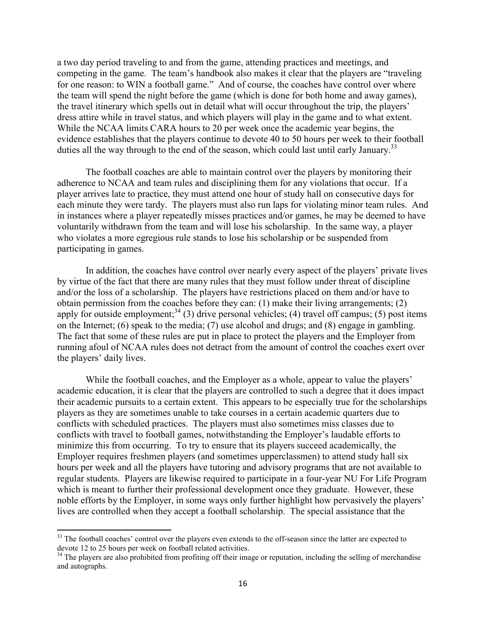a two day period traveling to and from the game, attending practices and meetings, and competing in the game. The team's handbook also makes it clear that the players are "traveling for one reason: to WIN a football game." And of course, the coaches have control over where the team will spend the night before the game (which is done for both home and away games), the travel itinerary which spells out in detail what will occur throughout the trip, the players' dress attire while in travel status, and which players will play in the game and to what extent. While the NCAA limits CARA hours to 20 per week once the academic year begins, the evidence establishes that the players continue to devote 40 to 50 hours per week to their football duties all the way through to the end of the season, which could last until early January.<sup>[33](#page-15-0)</sup>

The football coaches are able to maintain control over the players by monitoring their adherence to NCAA and team rules and disciplining them for any violations that occur. If a player arrives late to practice, they must attend one hour of study hall on consecutive days for each minute they were tardy. The players must also run laps for violating minor team rules. And in instances where a player repeatedly misses practices and/or games, he may be deemed to have voluntarily withdrawn from the team and will lose his scholarship. In the same way, a player who violates a more egregious rule stands to lose his scholarship or be suspended from participating in games.

In addition, the coaches have control over nearly every aspect of the players' private lives by virtue of the fact that there are many rules that they must follow under threat of discipline and/or the loss of a scholarship. The players have restrictions placed on them and/or have to obtain permission from the coaches before they can: (1) make their living arrangements; (2) apply for outside employment;<sup>[34](#page-15-1)</sup> (3) drive personal vehicles; (4) travel off campus; (5) post items on the Internet; (6) speak to the media; (7) use alcohol and drugs; and (8) engage in gambling. The fact that some of these rules are put in place to protect the players and the Employer from running afoul of NCAA rules does not detract from the amount of control the coaches exert over the players' daily lives.

While the football coaches, and the Employer as a whole, appear to value the players' academic education, it is clear that the players are controlled to such a degree that it does impact their academic pursuits to a certain extent. This appears to be especially true for the scholarships players as they are sometimes unable to take courses in a certain academic quarters due to conflicts with scheduled practices. The players must also sometimes miss classes due to conflicts with travel to football games, notwithstanding the Employer's laudable efforts to minimize this from occurring. To try to ensure that its players succeed academically, the Employer requires freshmen players (and sometimes upperclassmen) to attend study hall six hours per week and all the players have tutoring and advisory programs that are not available to regular students. Players are likewise required to participate in a four-year NU For Life Program which is meant to further their professional development once they graduate. However, these noble efforts by the Employer, in some ways only further highlight how pervasively the players' lives are controlled when they accept a football scholarship. The special assistance that the

<span id="page-15-0"></span><sup>&</sup>lt;sup>33</sup> The football coaches' control over the players even extends to the off-season since the latter are expected to devote 12 to 25 hours per week on football related activities.

<span id="page-15-1"></span> $34$  The players are also prohibited from profiting off their image or reputation, including the selling of merchandise and autographs.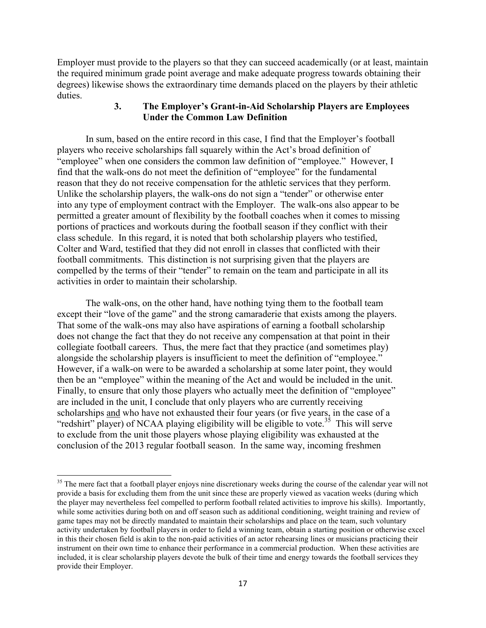Employer must provide to the players so that they can succeed academically (or at least, maintain the required minimum grade point average and make adequate progress towards obtaining their degrees) likewise shows the extraordinary time demands placed on the players by their athletic duties.

# **3. The Employer's Grant-in-Aid Scholarship Players are Employees Under the Common Law Definition**

In sum, based on the entire record in this case, I find that the Employer's football players who receive scholarships fall squarely within the Act's broad definition of "employee" when one considers the common law definition of "employee." However, I find that the walk-ons do not meet the definition of "employee" for the fundamental reason that they do not receive compensation for the athletic services that they perform. Unlike the scholarship players, the walk-ons do not sign a "tender" or otherwise enter into any type of employment contract with the Employer. The walk-ons also appear to be permitted a greater amount of flexibility by the football coaches when it comes to missing portions of practices and workouts during the football season if they conflict with their class schedule. In this regard, it is noted that both scholarship players who testified, Colter and Ward, testified that they did not enroll in classes that conflicted with their football commitments. This distinction is not surprising given that the players are compelled by the terms of their "tender" to remain on the team and participate in all its activities in order to maintain their scholarship.

The walk-ons, on the other hand, have nothing tying them to the football team except their "love of the game" and the strong camaraderie that exists among the players. That some of the walk-ons may also have aspirations of earning a football scholarship does not change the fact that they do not receive any compensation at that point in their collegiate football careers. Thus, the mere fact that they practice (and sometimes play) alongside the scholarship players is insufficient to meet the definition of "employee." However, if a walk-on were to be awarded a scholarship at some later point, they would then be an "employee" within the meaning of the Act and would be included in the unit. Finally, to ensure that only those players who actually meet the definition of "employee" are included in the unit, I conclude that only players who are currently receiving scholarships and who have not exhausted their four years (or five years, in the case of a "redshirt" player) of NCAA playing eligibility will be eligible to vote.<sup>[35](#page-16-0)</sup> This will serve to exclude from the unit those players whose playing eligibility was exhausted at the conclusion of the 2013 regular football season. In the same way, incoming freshmen

<span id="page-16-0"></span><sup>&</sup>lt;sup>35</sup> The mere fact that a football player enjoys nine discretionary weeks during the course of the calendar year will not provide a basis for excluding them from the unit since these are properly viewed as vacation weeks (during which the player may nevertheless feel compelled to perform football related activities to improve his skills). Importantly, while some activities during both on and off season such as additional conditioning, weight training and review of game tapes may not be directly mandated to maintain their scholarships and place on the team, such voluntary activity undertaken by football players in order to field a winning team, obtain a starting position or otherwise excel in this their chosen field is akin to the non-paid activities of an actor rehearsing lines or musicians practicing their instrument on their own time to enhance their performance in a commercial production. When these activities are included, it is clear scholarship players devote the bulk of their time and energy towards the football services they provide their Employer.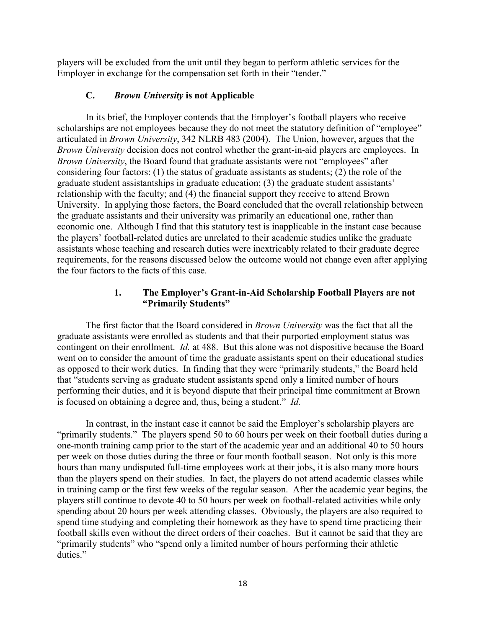players will be excluded from the unit until they began to perform athletic services for the Employer in exchange for the compensation set forth in their "tender."

## **C.** *Brown University* **is not Applicable**

In its brief, the Employer contends that the Employer's football players who receive scholarships are not employees because they do not meet the statutory definition of "employee" articulated in *Brown University*, 342 NLRB 483 (2004). The Union, however, argues that the *Brown University* decision does not control whether the grant-in-aid players are employees. In *Brown University*, the Board found that graduate assistants were not "employees" after considering four factors: (1) the status of graduate assistants as students; (2) the role of the graduate student assistantships in graduate education; (3) the graduate student assistants' relationship with the faculty; and (4) the financial support they receive to attend Brown University. In applying those factors, the Board concluded that the overall relationship between the graduate assistants and their university was primarily an educational one, rather than economic one. Although I find that this statutory test is inapplicable in the instant case because the players' football-related duties are unrelated to their academic studies unlike the graduate assistants whose teaching and research duties were inextricably related to their graduate degree requirements, for the reasons discussed below the outcome would not change even after applying the four factors to the facts of this case.

# **1. The Employer's Grant-in-Aid Scholarship Football Players are not "Primarily Students"**

The first factor that the Board considered in *Brown University* was the fact that all the graduate assistants were enrolled as students and that their purported employment status was contingent on their enrollment. *Id.* at 488. But this alone was not dispositive because the Board went on to consider the amount of time the graduate assistants spent on their educational studies as opposed to their work duties. In finding that they were "primarily students," the Board held that "students serving as graduate student assistants spend only a limited number of hours performing their duties, and it is beyond dispute that their principal time commitment at Brown is focused on obtaining a degree and, thus, being a student." *Id.*

In contrast, in the instant case it cannot be said the Employer's scholarship players are "primarily students." The players spend 50 to 60 hours per week on their football duties during a one-month training camp prior to the start of the academic year and an additional 40 to 50 hours per week on those duties during the three or four month football season. Not only is this more hours than many undisputed full-time employees work at their jobs, it is also many more hours than the players spend on their studies. In fact, the players do not attend academic classes while in training camp or the first few weeks of the regular season. After the academic year begins, the players still continue to devote 40 to 50 hours per week on football-related activities while only spending about 20 hours per week attending classes. Obviously, the players are also required to spend time studying and completing their homework as they have to spend time practicing their football skills even without the direct orders of their coaches. But it cannot be said that they are "primarily students" who "spend only a limited number of hours performing their athletic duties."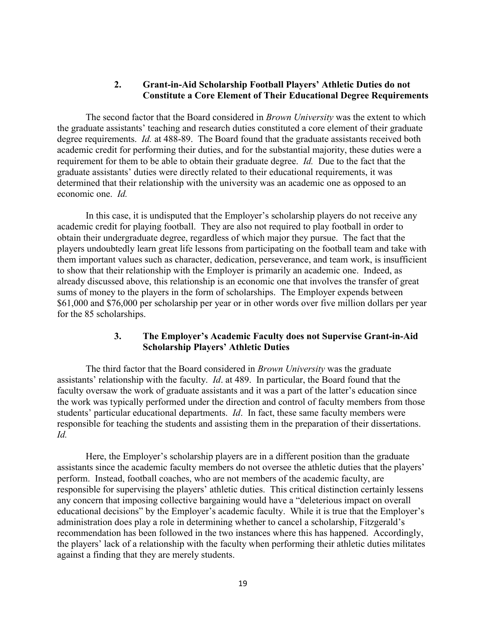## **2. Grant-in-Aid Scholarship Football Players' Athletic Duties do not Constitute a Core Element of Their Educational Degree Requirements**

The second factor that the Board considered in *Brown University* was the extent to which the graduate assistants' teaching and research duties constituted a core element of their graduate degree requirements. *Id.* at 488-89. The Board found that the graduate assistants received both academic credit for performing their duties, and for the substantial majority, these duties were a requirement for them to be able to obtain their graduate degree. *Id.* Due to the fact that the graduate assistants' duties were directly related to their educational requirements, it was determined that their relationship with the university was an academic one as opposed to an economic one. *Id.*

In this case, it is undisputed that the Employer's scholarship players do not receive any academic credit for playing football. They are also not required to play football in order to obtain their undergraduate degree, regardless of which major they pursue. The fact that the players undoubtedly learn great life lessons from participating on the football team and take with them important values such as character, dedication, perseverance, and team work, is insufficient to show that their relationship with the Employer is primarily an academic one. Indeed, as already discussed above, this relationship is an economic one that involves the transfer of great sums of money to the players in the form of scholarships. The Employer expends between \$61,000 and \$76,000 per scholarship per year or in other words over five million dollars per year for the 85 scholarships.

### **3. The Employer's Academic Faculty does not Supervise Grant-in-Aid Scholarship Players' Athletic Duties**

The third factor that the Board considered in *Brown University* was the graduate assistants' relationship with the faculty. *Id*. at 489.In particular, the Board found that the faculty oversaw the work of graduate assistants and it was a part of the latter's education since the work was typically performed under the direction and control of faculty members from those students' particular educational departments. *Id*. In fact, these same faculty members were responsible for teaching the students and assisting them in the preparation of their dissertations. *Id.*

Here, the Employer's scholarship players are in a different position than the graduate assistants since the academic faculty members do not oversee the athletic duties that the players' perform. Instead, football coaches, who are not members of the academic faculty, are responsible for supervising the players' athletic duties. This critical distinction certainly lessens any concern that imposing collective bargaining would have a "deleterious impact on overall educational decisions" by the Employer's academic faculty. While it is true that the Employer's administration does play a role in determining whether to cancel a scholarship, Fitzgerald's recommendation has been followed in the two instances where this has happened. Accordingly, the players' lack of a relationship with the faculty when performing their athletic duties militates against a finding that they are merely students.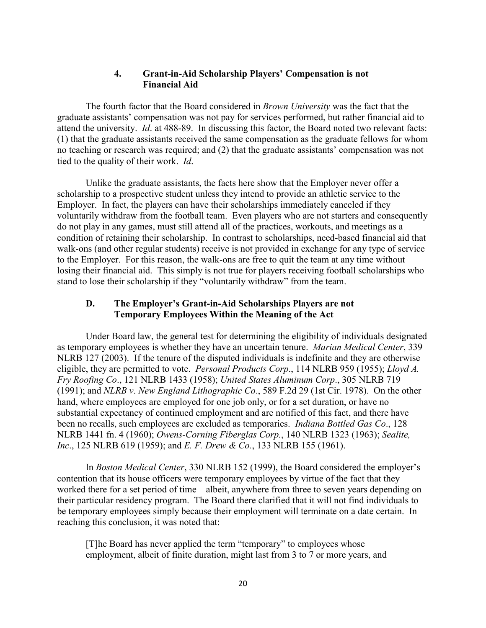# **4. Grant-in-Aid Scholarship Players' Compensation is not Financial Aid**

The fourth factor that the Board considered in *Brown University* was the fact that the graduate assistants' compensation was not pay for services performed, but rather financial aid to attend the university. *Id*. at 488-89.In discussing this factor, the Board noted two relevant facts: (1) that the graduate assistants received the same compensation as the graduate fellows for whom no teaching or research was required; and (2) that the graduate assistants' compensation was not tied to the quality of their work. *Id*.

Unlike the graduate assistants, the facts here show that the Employer never offer a scholarship to a prospective student unless they intend to provide an athletic service to the Employer. In fact, the players can have their scholarships immediately canceled if they voluntarily withdraw from the football team. Even players who are not starters and consequently do not play in any games, must still attend all of the practices, workouts, and meetings as a condition of retaining their scholarship. In contrast to scholarships, need-based financial aid that walk-ons (and other regular students) receive is not provided in exchange for any type of service to the Employer. For this reason, the walk-ons are free to quit the team at any time without losing their financial aid. This simply is not true for players receiving football scholarships who stand to lose their scholarship if they "voluntarily withdraw" from the team.

# **D. The Employer's Grant-in-Aid Scholarships Players are not Temporary Employees Within the Meaning of the Act**

Under Board law, the general test for determining the eligibility of individuals designated as temporary employees is whether they have an uncertain tenure. *Marian Medical Center*, 339 NLRB 127 (2003). If the tenure of the disputed individuals is indefinite and they are otherwise eligible, they are permitted to vote. *Personal Products Corp*., 114 NLRB 959 (1955); *Lloyd A. Fry Roofing Co*., 121 NLRB 1433 (1958); *United States Aluminum Corp*., 305 NLRB 719 (1991); and *NLRB v*. *New England Lithographic Co*., 589 F.2d 29 (1st Cir. 1978). On the other hand, where employees are employed for one job only, or for a set duration, or have no substantial expectancy of continued employment and are notified of this fact, and there have been no recalls, such employees are excluded as temporaries. *Indiana Bottled Gas Co*., 128 NLRB 1441 fn. 4 (1960); *Owens-Corning Fiberglas Corp.*, 140 NLRB 1323 (1963); *Sealite, Inc*., 125 NLRB 619 (1959); and *E. F. Drew & Co.*, 133 NLRB 155 (1961).

In *Boston Medical Center*, 330 NLRB 152 (1999), the Board considered the employer's contention that its house officers were temporary employees by virtue of the fact that they worked there for a set period of time – albeit, anywhere from three to seven years depending on their particular residency program. The Board there clarified that it will not find individuals to be temporary employees simply because their employment will terminate on a date certain. In reaching this conclusion, it was noted that:

[T]he Board has never applied the term "temporary" to employees whose employment, albeit of finite duration, might last from 3 to 7 or more years, and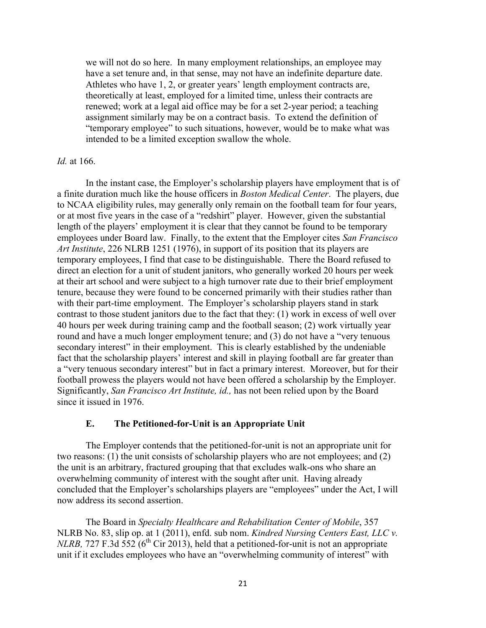we will not do so here. In many employment relationships, an employee may have a set tenure and, in that sense, may not have an indefinite departure date. Athletes who have 1, 2, or greater years' length employment contracts are, theoretically at least, employed for a limited time, unless their contracts are renewed; work at a legal aid office may be for a set 2-year period; a teaching assignment similarly may be on a contract basis. To extend the definition of "temporary employee" to such situations, however, would be to make what was intended to be a limited exception swallow the whole.

#### *Id.* at 166.

In the instant case, the Employer's scholarship players have employment that is of a finite duration much like the house officers in *Boston Medical Center*. The players, due to NCAA eligibility rules, may generally only remain on the football team for four years, or at most five years in the case of a "redshirt" player. However, given the substantial length of the players' employment it is clear that they cannot be found to be temporary employees under Board law. Finally, to the extent that the Employer cites *San Francisco Art Institute*, 226 NLRB 1251 (1976), in support of its position that its players are temporary employees, I find that case to be distinguishable. There the Board refused to direct an election for a unit of student janitors, who generally worked 20 hours per week at their art school and were subject to a high turnover rate due to their brief employment tenure, because they were found to be concerned primarily with their studies rather than with their part-time employment. The Employer's scholarship players stand in stark contrast to those student janitors due to the fact that they: (1) work in excess of well over 40 hours per week during training camp and the football season; (2) work virtually year round and have a much longer employment tenure; and (3) do not have a "very tenuous secondary interest" in their employment. This is clearly established by the undeniable fact that the scholarship players' interest and skill in playing football are far greater than a "very tenuous secondary interest" but in fact a primary interest. Moreover, but for their football prowess the players would not have been offered a scholarship by the Employer. Significantly, *San Francisco Art Institute, id.,* has not been relied upon by the Board since it issued in 1976.

### **E. The Petitioned-for-Unit is an Appropriate Unit**

The Employer contends that the petitioned-for-unit is not an appropriate unit for two reasons: (1) the unit consists of scholarship players who are not employees; and (2) the unit is an arbitrary, fractured grouping that that excludes walk-ons who share an overwhelming community of interest with the sought after unit. Having already concluded that the Employer's scholarships players are "employees" under the Act, I will now address its second assertion.

The Board in *Specialty Healthcare and Rehabilitation Center of Mobile*, 357 NLRB No. 83, slip op. at 1 (2011), enfd. sub nom. *Kindred Nursing Centers East, LLC v. NLRB,* 727 F.3d  $\overline{552}$  (6<sup>th</sup> Cir 2013), held that a petitioned-for-unit is not an appropriate unit if it excludes employees who have an "overwhelming community of interest" with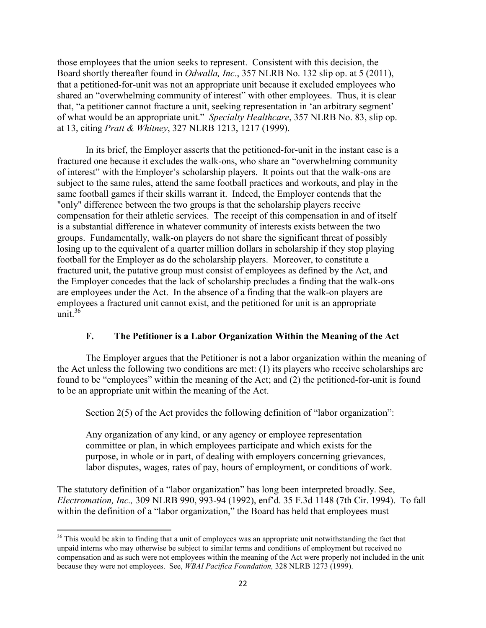those employees that the union seeks to represent. Consistent with this decision, the Board shortly thereafter found in *Odwalla, Inc*., 357 NLRB No. 132 slip op. at 5 (2011), that a petitioned-for-unit was not an appropriate unit because it excluded employees who shared an "overwhelming community of interest" with other employees. Thus, it is clear that, "a petitioner cannot fracture a unit, seeking representation in 'an arbitrary segment' of what would be an appropriate unit." *Specialty Healthcare*, 357 NLRB No. 83, slip op. at 13, citing *Pratt & Whitney*, 327 NLRB 1213, 1217 (1999).

In its brief, the Employer asserts that the petitioned-for-unit in the instant case is a fractured one because it excludes the walk-ons, who share an "overwhelming community of interest" with the Employer's scholarship players. It points out that the walk-ons are subject to the same rules, attend the same football practices and workouts, and play in the same football games if their skills warrant it. Indeed, the Employer contends that the "only" difference between the two groups is that the scholarship players receive compensation for their athletic services. The receipt of this compensation in and of itself is a substantial difference in whatever community of interests exists between the two groups. Fundamentally, walk-on players do not share the significant threat of possibly losing up to the equivalent of a quarter million dollars in scholarship if they stop playing football for the Employer as do the scholarship players. Moreover, to constitute a fractured unit, the putative group must consist of employees as defined by the Act, and the Employer concedes that the lack of scholarship precludes a finding that the walk-ons are employees under the Act. In the absence of a finding that the walk-on players are employees a fractured unit cannot exist, and the petitioned for unit is an appropriate unit. [36](#page-21-0)

# **F. The Petitioner is a Labor Organization Within the Meaning of the Act**

The Employer argues that the Petitioner is not a labor organization within the meaning of the Act unless the following two conditions are met: (1) its players who receive scholarships are found to be "employees" within the meaning of the Act; and (2) the petitioned-for-unit is found to be an appropriate unit within the meaning of the Act.

Section 2(5) of the Act provides the following definition of "labor organization":

Any organization of any kind, or any agency or employee representation committee or plan, in which employees participate and which exists for the purpose, in whole or in part, of dealing with employers concerning grievances, labor disputes, wages, rates of pay, hours of employment, or conditions of work.

The statutory definition of a "labor organization" has long been interpreted broadly. See, *Electromation, Inc.,* 309 NLRB 990, 993-94 (1992), enf'd. 35 F.3d 1148 (7th Cir. 1994). To fall within the definition of a "labor organization," the Board has held that employees must

<span id="page-21-0"></span><sup>&</sup>lt;sup>36</sup> This would be akin to finding that a unit of employees was an appropriate unit notwithstanding the fact that unpaid interns who may otherwise be subject to similar terms and conditions of employment but received no compensation and as such were not employees within the meaning of the Act were properly not included in the unit because they were not employees. See, *WBAI Pacifica Foundation,* 328 NLRB 1273 (1999).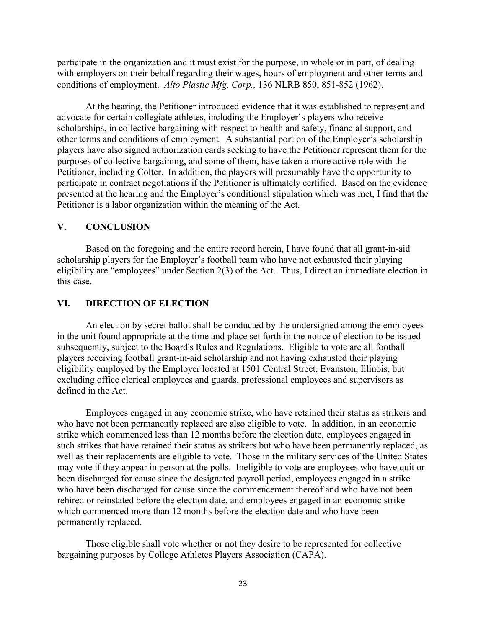participate in the organization and it must exist for the purpose, in whole or in part, of dealing with employers on their behalf regarding their wages, hours of employment and other terms and conditions of employment. *Alto Plastic Mfg. Corp.,* 136 NLRB 850, 851-852 (1962).

At the hearing, the Petitioner introduced evidence that it was established to represent and advocate for certain collegiate athletes, including the Employer's players who receive scholarships, in collective bargaining with respect to health and safety, financial support, and other terms and conditions of employment. A substantial portion of the Employer's scholarship players have also signed authorization cards seeking to have the Petitioner represent them for the purposes of collective bargaining, and some of them, have taken a more active role with the Petitioner, including Colter. In addition, the players will presumably have the opportunity to participate in contract negotiations if the Petitioner is ultimately certified. Based on the evidence presented at the hearing and the Employer's conditional stipulation which was met, I find that the Petitioner is a labor organization within the meaning of the Act.

### **V. CONCLUSION**

Based on the foregoing and the entire record herein, I have found that all grant-in-aid scholarship players for the Employer's football team who have not exhausted their playing eligibility are "employees" under Section 2(3) of the Act. Thus, I direct an immediate election in this case.

### **VI. DIRECTION OF ELECTION**

An election by secret ballot shall be conducted by the undersigned among the employees in the unit found appropriate at the time and place set forth in the notice of election to be issued subsequently, subject to the Board's Rules and Regulations. Eligible to vote are all football players receiving football grant-in-aid scholarship and not having exhausted their playing eligibility employed by the Employer located at 1501 Central Street, Evanston, Illinois, but excluding office clerical employees and guards, professional employees and supervisors as defined in the Act.

Employees engaged in any economic strike, who have retained their status as strikers and who have not been permanently replaced are also eligible to vote. In addition, in an economic strike which commenced less than 12 months before the election date, employees engaged in such strikes that have retained their status as strikers but who have been permanently replaced, as well as their replacements are eligible to vote. Those in the military services of the United States may vote if they appear in person at the polls. Ineligible to vote are employees who have quit or been discharged for cause since the designated payroll period, employees engaged in a strike who have been discharged for cause since the commencement thereof and who have not been rehired or reinstated before the election date, and employees engaged in an economic strike which commenced more than 12 months before the election date and who have been permanently replaced.

Those eligible shall vote whether or not they desire to be represented for collective bargaining purposes by College Athletes Players Association (CAPA).